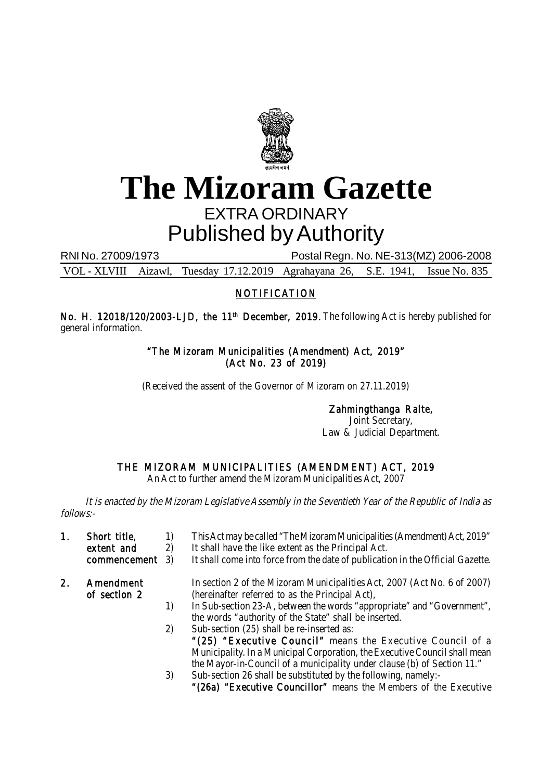

# **The Mizoram Gazette** EXTRA ORDINARY Published by Authority

RNI No. 27009/1973 Postal Regn. No. NE-313(MZ) 2006-2008

VOL - XLVIII Aizawl, Tuesday 17.12.2019 Agrahayana 26, S.E. 1941, Issue No. 835

### NOTIFICATION

No. H. 12018/120/2003-LJD, the 11<sup>th</sup> December, 2019. The following Act is hereby published for general information.

### "The Mizoram Municipalities (Amendment) Act, 2019" (Act No. 23 of 2019)

(Received the assent of the Governor of Mizoram on 27.11.2019)

Zahmingthanga Ralte, Joint Secretary,

Law & Judicial Department.

# THE MIZORAM MUNICIPALITIES (AMENDMENT) ACT, 2019

An Act to further amend the Mizoram Municipalities Act, 2007

It is enacted by the Mizoram Legislative Assembly in the Seventieth Year of the Republic of India as follows:-

- 1. Short title, 1) This Act may be called "The Mizoram Municipalities (Amendment) Act, 2019"
	- extent and 2) It shall have the like extent as the Principal Act.<br>
	commencement 3) It shall come into force from the date of publication It shall come into force from the date of publication in the Official Gazette.
	-
- 2. Amendment In section 2 of the Mizoram Municipalities Act, 2007 (Act No. 6 of 2007)<br>of section 2 (hereinafter referred to as the Principal Act). (hereinafter referred to as the Principal Act),
	- 1) In Sub-section 23-A, between the words "appropriate" and "Government", the words "authority of the State" shall be inserted.
	- 2) Sub-section (25) shall be re-inserted as: "(25) "Executive Council" means the Executive Council of a Municipality. In a Municipal Corporation, the Executive Council shall mean the Mayor-in-Council of a municipality under clause (b) of Section 11." 3) Sub-section 26 shall be substituted by the following, namely:-
		- - "(26a) "Executive Councillor" means the Members of the Executive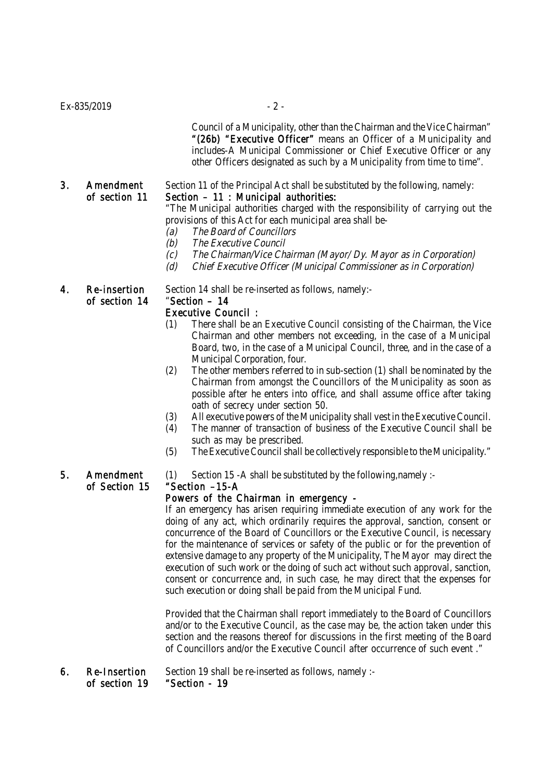$Ex - 835/2019$  - 2 -

Council of a Municipality, other than the Chairman and the Vice Chairman" "(26b) "Executive Officer" means an Officer of a Municipality and includes-A Municipal Commissioner or Chief Executive Officer or any other Officers designated as such by a Municipality from time to time".

# 3. Amendment Section 11 of the Principal Act shall be substituted by the following, namely:

### of section 11 Section – 11 : Municipal authorities:

"The Municipal authorities charged with the responsibility of carrying out the provisions of this Act for each municipal area shall be-

- (a) The Board of Councillors
	- (b) The Executive Council
	- (c) The Chairman/Vice Chairman (Mayor/ Dy. Mayor as in Corporation)
	- (d) Chief Executive Officer (Municipal Commissioner as in Corporation)

of section 14 "Section – 14

4. Re-insertion Section 14 shall be re-inserted as follows, namely:-

### Executive Council :

- (1) There shall be an Executive Council consisting of the Chairman, the Vice Chairman and other members not exceeding, in the case of a Municipal Board, two, in the case of a Municipal Council, three, and in the case of a Municipal Corporation, four.
- (2) The other members referred to in sub-section (1) shall be nominated by the Chairman from amongst the Councillors of the Municipality as soon as possible after he enters into office, and shall assume office after taking oath of secrecy under section 50.
- (3) All executive powers of the Municipality shall vest in the Executive Council.
- (4) The manner of transaction of business of the Executive Council shall be such as may be prescribed.
- (5) The Executive Council shall be collectively responsible to the Municipality."

5. Amendment (1) Section 15 - A shall be substituted by the following, namely :-

### of Section 15 "Section –15-A

### Powers of the Chairman in emergency -

If an emergency has arisen requiring immediate execution of any work for the doing of any act, which ordinarily requires the approval, sanction, consent or concurrence of the Board of Councillors or the Executive Council, is necessary for the maintenance of services or safety of the public or for the prevention of extensive damage to any property of the Municipality, The Mayor may direct the execution of such work or the doing of such act without such approval, sanction, consent or concurrence and, in such case, he may direct that the expenses for such execution or doing shall be paid from the Municipal Fund.

Provided that the Chairman shall report immediately to the Board of Councillors and/or to the Executive Council, as the case may be, the action taken under this section and the reasons thereof for discussions in the first meeting of the Board of Councillors and/or the Executive Council after occurrence of such event ."

6. Re-Insertion Section 19 shall be re-inserted as follows, namely :of section 19 "Section - 19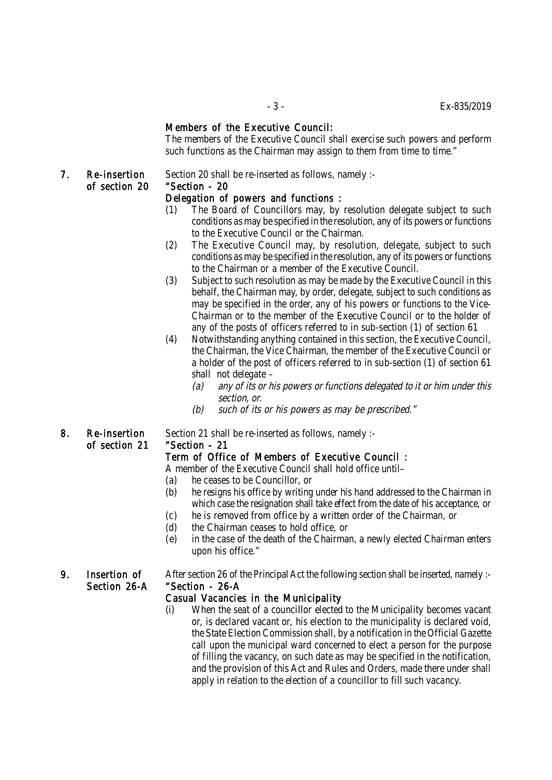### Members of the Executive Council:

The members of the Executive Council shall exercise such powers and perform such functions as the Chairman may assign to them from time to time."

# of section 20 "Section - 20

### 7. Re-insertion Section 20 shall be re-inserted as follows, namely :-

### Delegation of powers and functions :

- (1) The Board of Councillors may, by resolution delegate subject to such conditions as may be specified in the resolution, any of its powers or functions to the Executive Council or the Chairman.
- (2) The Executive Council may, by resolution, delegate, subject to such conditions as may be specified in the resolution, any of its powers or functions to the Chairman or a member of the Executive Council.
- (3) Subject to such resolution as may be made by the Executive Council in this behalf, the Chairman may, by order, delegate, subject to such conditions as may be specified in the order, any of his powers or functions to the Vice-Chairman or to the member of the Executive Council or to the holder of any of the posts of officers referred to in sub-section (1) of section 61
- (4) Notwithstanding anything contained in this section, the Executive Council, the Chairman, the Vice Chairman, the member of the Executive Council or a holder of the post of officers referred to in sub-section (1) of section 61 shall not delegate –
	- (a) any of its or his powers or functions delegated to it or him under this section, or.
	- (b) such of its or his powers as may be prescribed."
- of section 21 "Section 21

8. Re-insertion Section 21 shall be re-inserted as follows, namely :-

### Term of Office of Members of Executive Council :

A member of the Executive Council shall hold office until–

- (a) he ceases to be Councillor, or
- (b) he resigns his office by writing under his hand addressed to the Chairman in which case the resignation shall take effect from the date of his acceptance, or
- (c) he is removed from office by a written order of the Chairman, or
- (d) the Chairman ceases to hold office, or
- (e) in the case of the death of the Chairman, a newly elected Chairman enters upon his office."

9. Insertion of After section 26 of the Principal Act the following section shall be inserted, namely :- Section 26-A "Section - 26-A

### Casual Vacancies in the Municipality

(i) When the seat of a councillor elected to the Municipality becomes vacant or, is declared vacant or, his election to the municipality is declared void, the State Election Commission shall, by a notification in the Official Gazette call upon the municipal ward concerned to elect a person for the purpose of filling the vacancy, on such date as may be specified in the notification, and the provision of this Act and Rules and Orders, made there under shall apply in relation to the election of a councillor to fill such vacancy.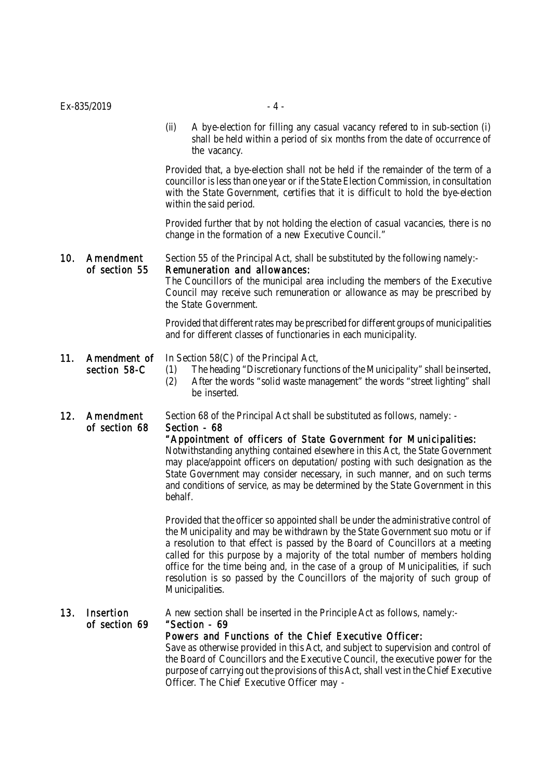Provided that, a bye-election shall not be held if the remainder of the term of a councillor is less than one year or if the State Election Commission, in consultation with the State Government, certifies that it is difficult to hold the bye-election within the said period.

Provided further that by not holding the election of casual vacancies, there is no change in the formation of a new Executive Council."

## 10. Amendment Section 55 of the Principal Act, shall be substituted by the following namely:of section 55 Remuneration and allowances:

The Councillors of the municipal area including the members of the Executive Council may receive such remuneration or allowance as may be prescribed by the State Government.

Provided that different rates may be prescribed for different groups of municipalities and for different classes of functionaries in each municipality.

### 11. Amendment of In Section 58(C) of the Principal Act, section 58-C (1) The heading "Discretionary functions of the Municipality" shall be inserted. (2) After the words "solid waste management" the words "street lighting" shall be inserted.

12. Amendment Section 68 of the Principal Act shall be substituted as follows, namely: -

### of section 68 Section - 68

"Appointment of officers of State Government for Municipalities:

Notwithstanding anything contained elsewhere in this Act, the State Government may place/appoint officers on deputation/ posting with such designation as the State Government may consider necessary, in such manner, and on such terms and conditions of service, as may be determined by the State Government in this behalf.

Provided that the officer so appointed shall be under the administrative control of the Municipality and may be withdrawn by the State Government suo motu or if a resolution to that effect is passed by the Board of Councillors at a meeting called for this purpose by a majority of the total number of members holding office for the time being and, in the case of a group of Municipalities, if such resolution is so passed by the Councillors of the majority of such group of Municipalities.

### 13. Insertion A new section shall be inserted in the Principle Act as follows, namely:-

### of section 69 "Section - 69

### Powers and Functions of the Chief Executive Officer:

Save as otherwise provided in this Act, and subject to supervision and control of the Board of Councillors and the Executive Council, the executive power for the purpose of carrying out the provisions of this Act, shall vest in the Chief Executive Officer. The Chief Executive Officer may -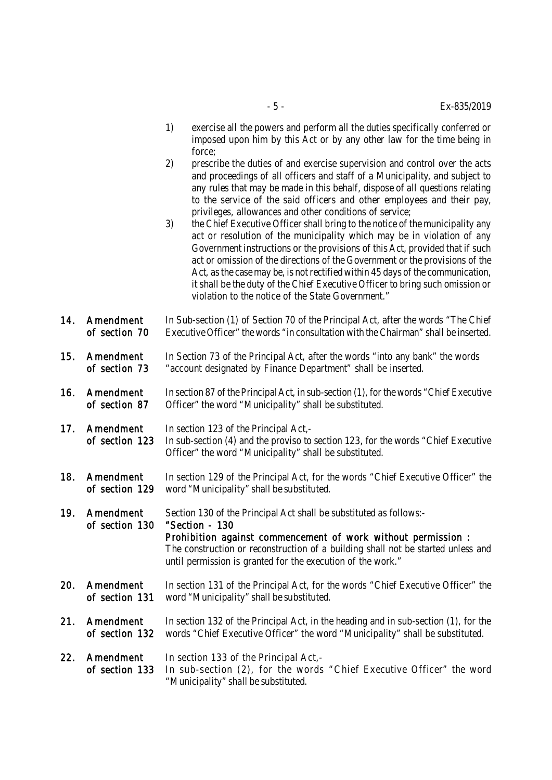- 1) exercise all the powers and perform all the duties specifically conferred or imposed upon him by this Act or by any other law for the time being in force;
	- 2) prescribe the duties of and exercise supervision and control over the acts and proceedings of all officers and staff of a Municipality, and subject to any rules that may be made in this behalf, dispose of all questions relating to the service of the said officers and other employees and their pay, privileges, allowances and other conditions of service;
	- 3) the Chief Executive Officer shall bring to the notice of the municipality any act or resolution of the municipality which may be in violation of any Government instructions or the provisions of this Act, provided that if such act or omission of the directions of the Government or the provisions of the Act, as the case may be, is not rectified within 45 days of the communication, it shall be the duty of the Chief Executive Officer to bring such omission or violation to the notice of the State Government."
- 14. Amendment In Sub-section (1) of Section 70 of the Principal Act, after the words "The Chief of section 70 Executive Officer" the words "in consultation with the Chairman" shall be inserted.
- 15. Amendment In Section 73 of the Principal Act, after the words "into any bank" the words of section 73 "account designated by Finance Department" shall be inserted.
- 16. Amendment In section 87 of the Principal Act, in sub-section (1), for the words "Chief Executive of section 87 Officer" the word "Municipality" shall be substituted.
- 17. **Amendment** In section 123 of the Principal Act.of section 123 In sub-section (4) and the proviso to section 123, for the words "Chief Executive Officer" the word "Municipality" shall be substituted.
- 18. Amendment In section 129 of the Principal Act, for the words "Chief Executive Officer" the of section 129 word "Municipality" shall be substituted.
- 19. Amendment Section 130 of the Principal Act shall be substituted as follows: of section 130 "Section - 130 Prohibition against commencement of work without permission : The construction or reconstruction of a building shall not be started unless and until permission is granted for the execution of the work."
- 20. Amendment In section 131 of the Principal Act, for the words "Chief Executive Officer" the of section 131 word "Municipality" shall be substituted.
- 21. Amendment In section 132 of the Principal Act, in the heading and in sub-section (1), for the of section 132 words "Chief Executive Officer" the word "Municipality" shall be substituted.
- 22. Amendment In section 133 of the Principal Act,of section 133 In sub-section (2), for the words "Chief Executive Officer" the word "Municipality" shall be substituted.